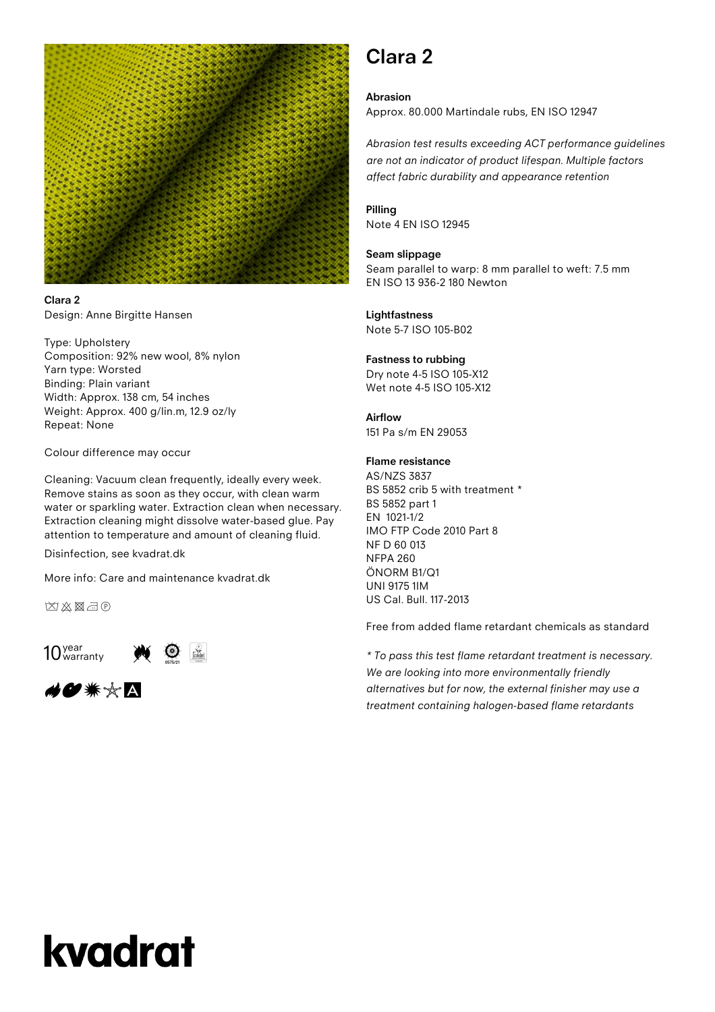

**Clara 2** Design: Anne Birgitte Hansen

Type: Upholstery Composition: 92% new wool, 8% nylon Yarn type: Worsted Binding: Plain variant Width: Approx. 138 cm, 54 inches Weight: Approx. 400 g/lin.m, 12.9 oz/ly Repeat: None

Colour difference may occur

Cleaning: Vacuum clean frequently, ideally every week. Remove stains as soon as they occur, with clean warm water or sparkling water. Extraction clean when necessary. Extraction cleaning might dissolve water-based glue. Pay attention to temperature and amount of cleaning fluid.

Disinfection, see kvadrat.dk

More info: Care and maintenance kvadrat.dk

凶凶图示



◢●☀☆△

### **Clara 2**

#### **Abrasion**

Approx. 80.000 Martindale rubs, EN ISO 12947

*Abrasion test results exceeding ACT performance guidelines are not an indicator of product lifespan. Multiple factors affect fabric durability and appearance retention*

#### **Pilling**

Note 4 EN ISO 12945

#### **Seam slippage**

Seam parallel to warp: 8 mm parallel to weft: 7.5 mm EN ISO 13 936-2 180 Newton

#### **Lightfastness**

Note 5-7 ISO 105-B02

#### **Fastness to rubbing**

Dry note 4-5 ISO 105-X12 Wet note 4-5 ISO 105-X12

#### **Airflow**

151 Pa s/m EN 29053

#### **Flame resistance**

AS/NZS 3837 BS 5852 crib 5 with treatment \* BS 5852 part 1 EN 1021-1/2 IMO FTP Code 2010 Part 8 NF D 60 013 NFPA 260 ÖNORM B1/Q1 UNI 9175 1IM US Cal. Bull. 117-2013

Free from added flame retardant chemicals as standard

*\* To pass this test flame retardant treatment is necessary. We are looking into more environmentally friendly alternatives but for now, the external finisher may use a treatment containing halogen-based flame retardants*

# kvadrat